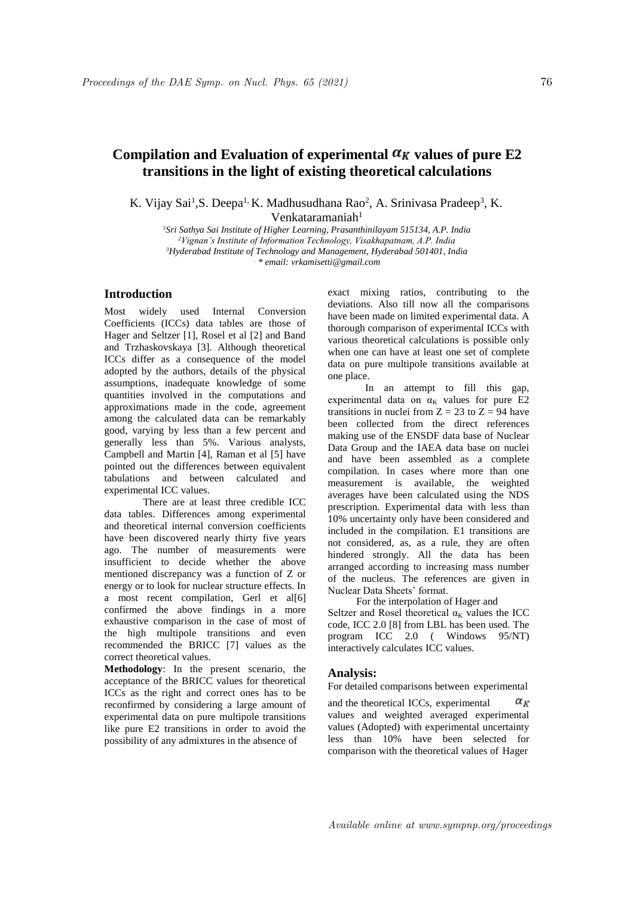## Compilation and Evaluation of experimental  $\alpha_K$  values of pure E2 **transitions in the light of existing theoretical calculations**

K. Vijay Sai<sup>1</sup>, S. Deepa<sup>1,</sup> K. Madhusudhana Rao<sup>2</sup>, A. Srinivasa Pradeep<sup>3</sup>, K.

 $V$ enkataramaniah<sup>1</sup>

*Sri Sathya Sai Institute of Higher Learning, Prasanthinilayam 515134, A.P. India Vignan's Institute of Information Technology, Visakhapatnam, A.P. India Hyderabad Institute of Technology and Management, Hyderabad 501401, India . \* email: vrkamisetti@gmail.com*

## **Introduction**

Most widely used Internal Conversion Coefficients (ICCs) data tables are those of Hager and Seltzer [1], Rosel et al [2] and Band and Trzhaskovskaya [3]. Although theoretical ICCs differ as a consequence of the model adopted by the authors, details of the physical assumptions, inadequate knowledge of some quantities involved in the computations and approximations made in the code, agreement among the calculated data can be remarkably good, varying by less than a few percent and generally less than 5%. Various analysts, Campbell and Martin [4], Raman et al [5] have pointed out the differences between equivalent tabulations and between calculated and experimental ICC values.

There are at least three credible ICC data tables. Differences among experimental and theoretical internal conversion coefficients have been discovered nearly thirty five years ago. The number of measurements were insufficient to decide whether the above mentioned discrepancy was a function of Z or energy or to look for nuclear structure effects. In a most recent compilation, Gerl et al[6] confirmed the above findings in a more exhaustive comparison in the case of most of the high multipole transitions and even recommended the BRICC [7] values as the correct theoretical values.

**Methodology**: In the present scenario, the acceptance of the BRICC values for theoretical ICCs as the right and correct ones has to be reconfirmed by considering a large amount of experimental data on pure multipole transitions like pure E2 transitions in order to avoid the possibility of any admixtures in the absence of

exact mixing ratios, contributing to the deviations. Also till now all the comparisons have been made on limited experimental data. A thorough comparison of experimental ICCs with various theoretical calculations is possible only when one can have at least one set of complete data on pure multipole transitions available at one place.

In an attempt to fill this gap, experimental data on  $\alpha_K$  values for pure E2 transitions in nuclei from  $Z = 23$  to  $Z = 94$  have been collected from the direct references making use of the ENSDF data base of Nuclear Data Group and the IAEA data base on nuclei and have been assembled as a complete compilation. In cases where more than one measurement is available, the weighted averages have been calculated using the NDS prescription. Experimental data with less than 10% uncertainty only have been considered and included in the compilation. E1 transitions are not considered, as, as a rule, they are often hindered strongly. All the data has been arranged according to increasing mass number of the nucleus. The references are given in Nuclear Data Sheets' format.

For the interpolation of Hager and Seltzer and Rosel theoretical  $\alpha_K$  values the ICC code, ICC 2.0 [8] from LBL has been used. The program ICC 2.0 ( Windows 95/NT) interactively calculates ICC values.

## **Analysis:**

For detailed comparisons between experimental

and the theoretical ICCs, experimental  $\alpha_{\scriptscriptstyle{K}}$ values and weighted averaged experimental values (Adopted) with experimental uncertainty less than 10% have been selected for comparison with the theoretical values of Hager